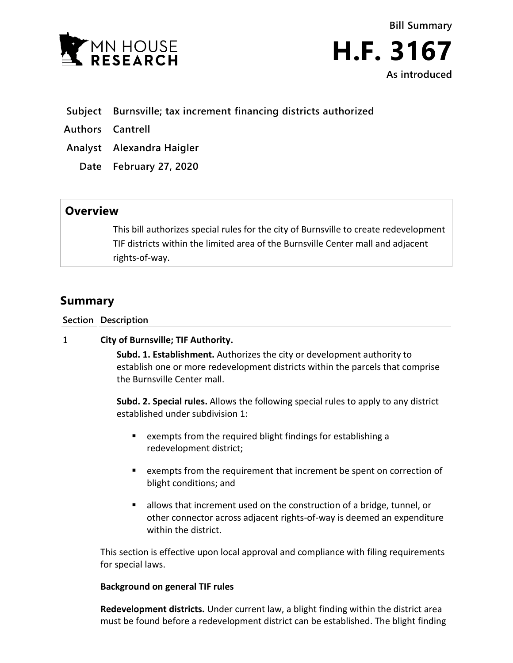



- **Subject Burnsville; tax increment financing districts authorized**
- **Authors Cantrell**
- **Analyst Alexandra Haigler**
	- **Date February 27, 2020**

## **Overview**

This bill authorizes special rules for the city of Burnsville to create redevelopment TIF districts within the limited area of the Burnsville Center mall and adjacent rights-of-way.

# **Summary**

**Section Description**

## 1 **City of Burnsville; TIF Authority.**

**Subd. 1. Establishment.** Authorizes the city or development authority to establish one or more redevelopment districts within the parcels that comprise the Burnsville Center mall.

**Subd. 2. Special rules.** Allows the following special rules to apply to any district established under subdivision 1:

- exempts from the required blight findings for establishing a redevelopment district;
- exempts from the requirement that increment be spent on correction of blight conditions; and
- **E** allows that increment used on the construction of a bridge, tunnel, or other connector across adjacent rights-of-way is deemed an expenditure within the district.

This section is effective upon local approval and compliance with filing requirements for special laws.

#### **Background on general TIF rules**

**Redevelopment districts.** Under current law, a blight finding within the district area must be found before a redevelopment district can be established. The blight finding